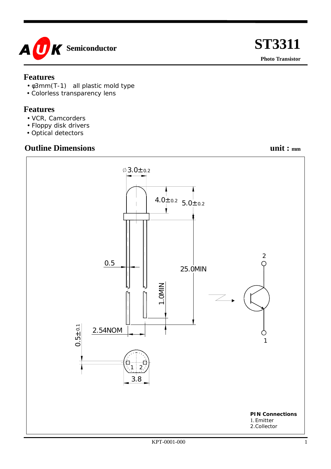

#### **Features**

- φ3mm(T-1) all plastic mold type
- Colorless transparency lens

#### **Features**

- VCR, Camcorders
- Floppy disk drivers
- Optical detectors

### **Outline Dimensions** unit :  $_{mm}$



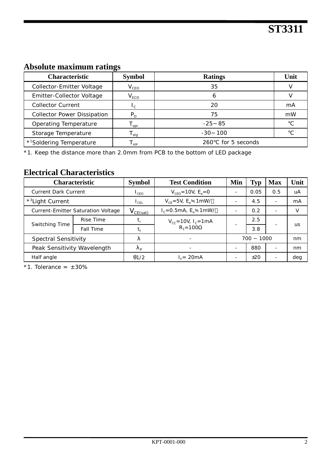## **Absolute maximum ratings**

| <b>Characteristic</b>                | <b>Symbol</b> | <b>Ratings</b>       | Unit |  |
|--------------------------------------|---------------|----------------------|------|--|
| Collector-Emitter Voltage            | $V_{CEO}$     | 35                   |      |  |
| Emitter-Collector Voltage            | $V_{ECO}$     |                      |      |  |
| <b>Collector Current</b>             |               | 20                   | mA   |  |
| <b>Collector Power Dissipation</b>   | $P_D$         | 75                   | mW   |  |
| Operating Temperature                | opr           | $-25$ 85             |      |  |
| Storage Temperature                  | sta           | -100<br>-30          |      |  |
| * <sup>1</sup> Soldering Temperature | sol           | for 5 seconds<br>260 |      |  |

\*1. Keep the distance more than 2.0mm from PCB to the bottom of LED package

#### **Electrical Characteristics**

| <b>Characteristic</b>              |           | <b>Symbol</b>               | <b>Test Condition</b>                             | Min          | Typ  | <b>Max</b>               | Unit |
|------------------------------------|-----------|-----------------------------|---------------------------------------------------|--------------|------|--------------------------|------|
| <b>Current Dark Current</b>        |           | $L_{CFO}$                   | $V_{CFO} = 10V$ , $E_e = 0$                       |              | 0.05 | 0.5                      | uA   |
| * <sup>3</sup> Light Current       |           | $\mathsf{I}_{\mathsf{CFL}}$ | $V_{CF} = 5V$ , $E_e$ 1 mW/                       |              | 4.5  | $\overline{\phantom{a}}$ | mA   |
| Current-Emitter Saturation Voltage |           | $V_{CE(sat)}$               | $I_c = 0.5 \text{mA}, E_e$ 1 mW/                  |              | 0.2  | $\overline{\phantom{0}}$ |      |
| Switching Time                     | Rise Time |                             | $V_{cc}$ =10V, I <sub>c</sub> =1mA<br>$R_1 = 100$ |              | 2.5  |                          | us   |
|                                    | Fall Time | t,                          |                                                   |              | 3.8  |                          |      |
| <b>Spectral Sensitivity</b>        |           |                             |                                                   | $700 - 1000$ |      |                          | nm   |
| Peak Sensitivity Wavelength        |           | D                           |                                                   |              | 880  | ۰                        | nm   |
| Half angle                         |           | $\theta$ 1/2                | $Ir = 20mA$                                       |              | ±20  | $\overline{\phantom{0}}$ | deg  |

 $*1$ . Tolerance =  $\pm 30\%$